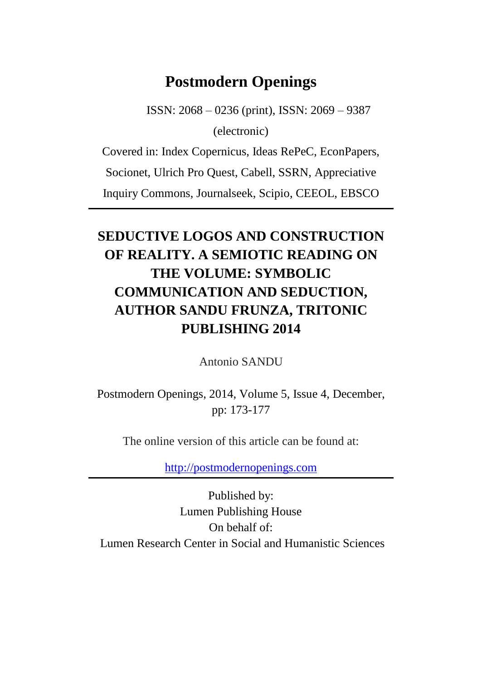## **Postmodern Openings**

ISSN: 2068 – 0236 (print), ISSN: 2069 – 9387 (electronic)

Covered in: Index Copernicus, Ideas RePeC, EconPapers,

Socionet, Ulrich Pro Quest, Cabell, SSRN, Appreciative

Inquiry Commons, Journalseek, Scipio, CEEOL, EBSCO

# **SEDUCTIVE LOGOS AND CONSTRUCTION OF REALITY. A SEMIOTIC READING ON THE VOLUME: SYMBOLIC COMMUNICATION AND SEDUCTION, AUTHOR SANDU FRUNZA, TRITONIC PUBLISHING 2014**

Antonio SANDU

Postmodern Openings, 2014, Volume 5, Issue 4, December, pp: 173-177

The online version of this article can be found at:

[http://postmodernopenings.com](http://postmodernopenings.com/)

Published by: Lumen Publishing House On behalf of: Lumen Research Center in Social and Humanistic Sciences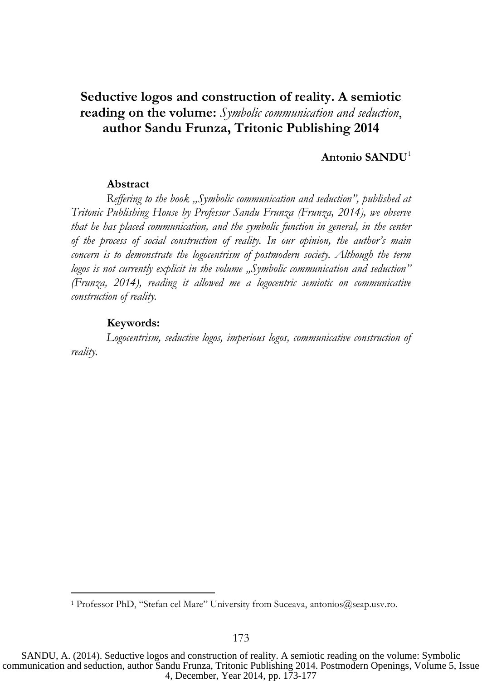## **Seductive logos and construction of reality. A semiotic reading on the volume:** *Symbolic communication and seduction*, **author Sandu Frunza, Tritonic Publishing 2014**

#### **Antonio SANDU**<sup>1</sup>

#### **Abstract**

*Reffering to the book "Symbolic communication and seduction", published at Tritonic Publishing House by Professor Sandu Frunza (Frunza, 2014), we observe that he has placed communication, and the symbolic function in general, in the center of the process of social construction of reality. In our opinion, the author's main concern is to demonstrate the logocentrism of postmodern society. Although the term*  logos is not currently explicit in the volume "Symbolic communication and seduction" *(Frunza, 2014), reading it allowed me a logocentric semiotic on communicative construction of reality.* 

#### **Keywords:**

 $\overline{a}$ 

*Logocentrism, seductive logos, imperious logos, communicative construction of reality.*

<sup>&</sup>lt;sup>1</sup> Professor PhD, "Stefan cel Mare" University from Suceava, antonios@seap.usv.ro.

SANDU, A. (2014). Seductive logos and construction of reality. A semiotic reading on the volume: Symbolic communication and seduction, author Sandu Frunza, Tritonic Publishing 2014. Postmodern Openings, Volume 5, Issue 4, December, Year 2014, pp. 173-177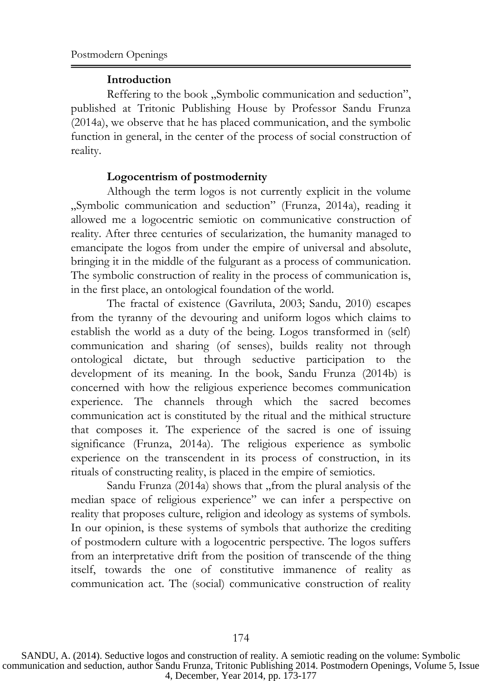### **Introduction**

Reffering to the book "Symbolic communication and seduction", published at Tritonic Publishing House by Professor Sandu Frunza (2014a), we observe that he has placed communication, and the symbolic function in general, in the center of the process of social construction of reality.

## **Logocentrism of postmodernity**

Although the term logos is not currently explicit in the volume "Symbolic communication and seduction" (Frunza, 2014a), reading it allowed me a logocentric semiotic on communicative construction of reality. After three centuries of secularization, the humanity managed to emancipate the logos from under the empire of universal and absolute, bringing it in the middle of the fulgurant as a process of communication. The symbolic construction of reality in the process of communication is, in the first place, an ontological foundation of the world.

The fractal of existence (Gavriluta, 2003; Sandu, 2010) escapes from the tyranny of the devouring and uniform logos which claims to establish the world as a duty of the being. Logos transformed in (self) communication and sharing (of senses), builds reality not through ontological dictate, but through seductive participation to the development of its meaning. In the book, Sandu Frunza (2014b) is concerned with how the religious experience becomes communication experience. The channels through which the sacred becomes communication act is constituted by the ritual and the mithical structure that composes it. The experience of the sacred is one of issuing significance (Frunza, 2014a). The religious experience as symbolic experience on the transcendent in its process of construction, in its rituals of constructing reality, is placed in the empire of semiotics.

Sandu Frunza (2014a) shows that "from the plural analysis of the median space of religious experience" we can infer a perspective on reality that proposes culture, religion and ideology as systems of symbols. In our opinion, is these systems of symbols that authorize the crediting of postmodern culture with a logocentric perspective. The logos suffers from an interpretative drift from the position of transcende of the thing itself, towards the one of constitutive immanence of reality as communication act. The (social) communicative construction of reality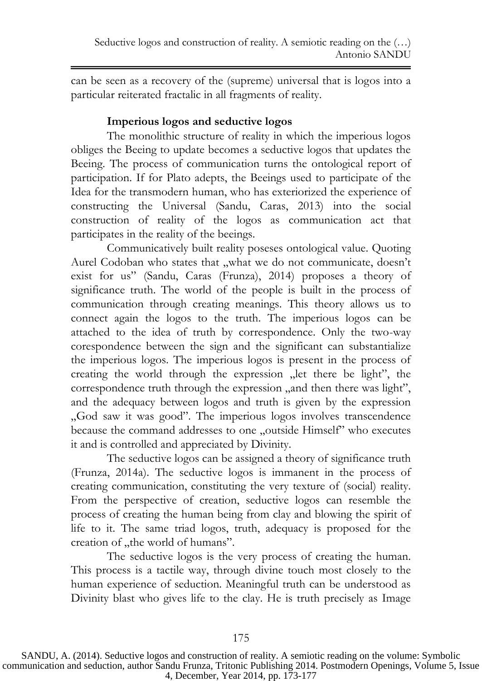can be seen as a recovery of the (supreme) universal that is logos into a particular reiterated fractalic in all fragments of reality.

## **Imperious logos and seductive logos**

The monolithic structure of reality in which the imperious logos obliges the Beeing to update becomes a seductive logos that updates the Beeing. The process of communication turns the ontological report of participation. If for Plato adepts, the Beeings used to participate of the Idea for the transmodern human, who has exteriorized the experience of constructing the Universal (Sandu, Caras, 2013) into the social construction of reality of the logos as communication act that participates in the reality of the beeings.

Communicatively built reality poseses ontological value. Quoting Aurel Codoban who states that "what we do not communicate, doesn't exist for us" (Sandu, Caras (Frunza), 2014) proposes a theory of significance truth. The world of the people is built in the process of communication through creating meanings. This theory allows us to connect again the logos to the truth. The imperious logos can be attached to the idea of truth by correspondence. Only the two-way corespondence between the sign and the significant can substantialize the imperious logos. The imperious logos is present in the process of creating the world through the expression "let there be light", the correspondence truth through the expression , and then there was light", and the adequacy between logos and truth is given by the expression "God saw it was good". The imperious logos involves transcendence because the command addresses to one "outside Himself" who executes it and is controlled and appreciated by Divinity.

The seductive logos can be assigned a theory of significance truth (Frunza, 2014a). The seductive logos is immanent in the process of creating communication, constituting the very texture of (social) reality. From the perspective of creation, seductive logos can resemble the process of creating the human being from clay and blowing the spirit of life to it. The same triad logos, truth, adequacy is proposed for the creation of "the world of humans".

The seductive logos is the very process of creating the human. This process is a tactile way, through divine touch most closely to the human experience of seduction. Meaningful truth can be understood as Divinity blast who gives life to the clay. He is truth precisely as Image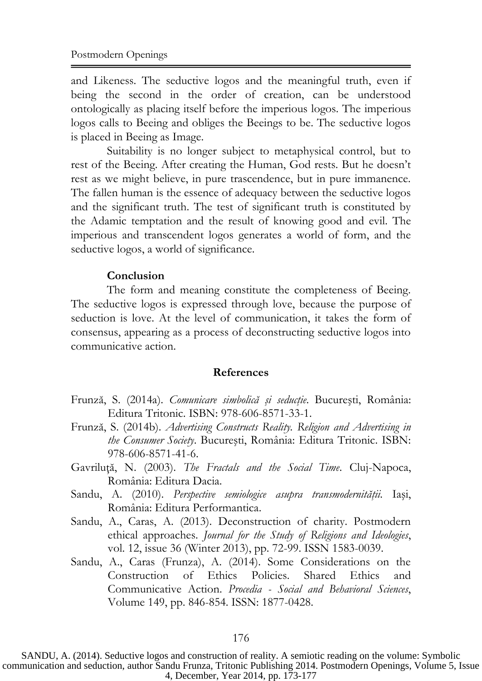and Likeness. The seductive logos and the meaningful truth, even if being the second in the order of creation, can be understood ontologically as placing itself before the imperious logos. The imperious logos calls to Beeing and obliges the Beeings to be. The seductive logos is placed in Beeing as Image.

Suitability is no longer subject to metaphysical control, but to rest of the Beeing. After creating the Human, God rests. But he doesn't rest as we might believe, in pure trascendence, but in pure immanence. The fallen human is the essence of adequacy between the seductive logos and the significant truth. The test of significant truth is constituted by the Adamic temptation and the result of knowing good and evil. The imperious and transcendent logos generates a world of form, and the seductive logos, a world of significance.

#### **Conclusion**

The form and meaning constitute the completeness of Beeing. The seductive logos is expressed through love, because the purpose of seduction is love. At the level of communication, it takes the form of consensus, appearing as a process of deconstructing seductive logos into communicative action.

#### **References**

- Frunză, S. (2014a). *Comunicare simbolică şi seducţie*. Bucureşti, România: Editura Tritonic. ISBN: 978-606-8571-33-1.
- Frunză, S. (2014b). *Advertising Constructs Reality. Religion and Advertising in the Consumer Society*. Bucureşti, România: Editura Tritonic. ISBN: 978-606-8571-41-6.
- Gavriluţă, N. (2003). *The Fractals and the Social Time*. Cluj-Napoca, România: Editura Dacia.
- Sandu, A. (2010). *Perspective semiologice asupra transmodernităţii.* Iaşi, România: Editura Performantica.
- Sandu, A., Caras, A. (2013). Deconstruction of charity. Postmodern ethical approaches. *Journal for the Study of Religions and Ideologies*, vol. 12, issue 36 (Winter 2013), pp. 72-99. ISSN 1583-0039.
- Sandu, A., Caras (Frunza), A. (2014). Some Considerations on the Construction of Ethics Policies. Shared Ethics and Communicative Action. *Procedia - Social and Behavioral Sciences*, Volume 149, pp. 846-854. ISSN: 1877-0428.

SANDU, A. (2014). Seductive logos and construction of reality. A semiotic reading on the volume: Symbolic communication and seduction, author Sandu Frunza, Tritonic Publishing 2014. Postmodern Openings, Volume 5, Issue 4, December, Year 2014, pp. 173-177